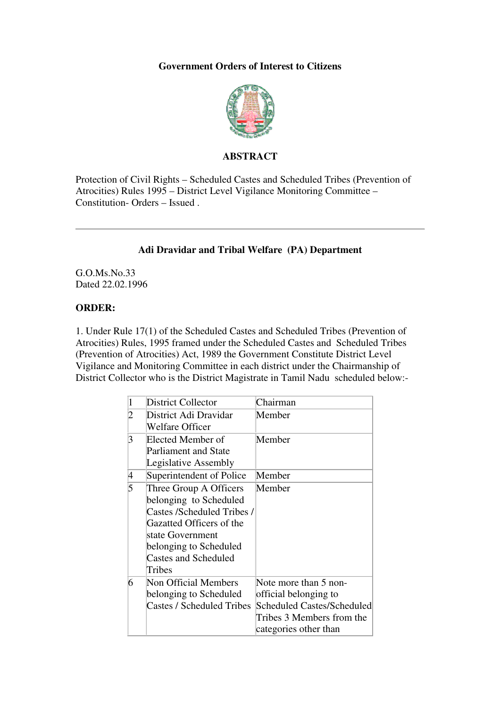## **Government Orders of Interest to Citizens**



## **ABSTRACT**

Protection of Civil Rights – Scheduled Castes and Scheduled Tribes (Prevention of Atrocities) Rules 1995 – District Level Vigilance Monitoring Committee – Constitution- Orders – Issued .

## **Adi Dravidar and Tribal Welfare (PA) Department**

G.O.Ms.No.33 Dated 22.02.1996

## **ORDER:**

1. Under Rule 17(1) of the Scheduled Castes and Scheduled Tribes (Prevention of Atrocities) Rules, 1995 framed under the Scheduled Castes and Scheduled Tribes (Prevention of Atrocities) Act, 1989 the Government Constitute District Level Vigilance and Monitoring Committee in each district under the Chairmanship of District Collector who is the District Magistrate in Tamil Nadu scheduled below:-

| 1 | <b>District Collector</b>   | Chairman                   |
|---|-----------------------------|----------------------------|
| 2 | District Adi Dravidar       | Member                     |
|   | <b>Welfare Officer</b>      |                            |
| 3 | Elected Member of           | Member                     |
|   | <b>Parliament and State</b> |                            |
|   | Legislative Assembly        |                            |
| 4 | Superintendent of Police    | Member                     |
| 5 | Three Group A Officers      | Member                     |
|   | belonging to Scheduled      |                            |
|   | Castes /Scheduled Tribes /  |                            |
|   | Gazatted Officers of the    |                            |
|   | state Government            |                            |
|   | belonging to Scheduled      |                            |
|   | <b>Castes and Scheduled</b> |                            |
|   | Tribes                      |                            |
| 6 | Non Official Members        | Note more than 5 non-      |
|   | belonging to Scheduled      | official belonging to      |
|   | Castes / Scheduled Tribes   | Scheduled Castes/Scheduled |
|   |                             | Tribes 3 Members from the  |
|   |                             | categories other than      |